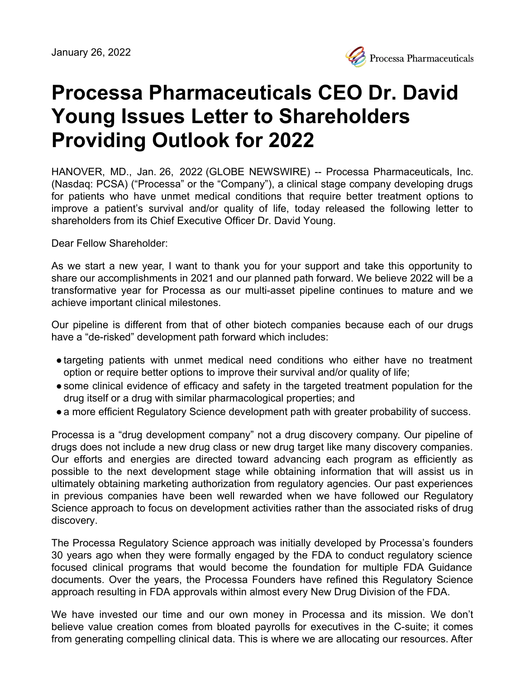

# **Processa Pharmaceuticals CEO Dr. David Young Issues Letter to Shareholders Providing Outlook for 2022**

HANOVER, MD., Jan. 26, 2022 (GLOBE NEWSWIRE) -- Processa Pharmaceuticals, Inc. (Nasdaq: PCSA) ("Processa" or the "Company"), a clinical stage company developing drugs for patients who have unmet medical conditions that require better treatment options to improve a patient's survival and/or quality of life, today released the following letter to shareholders from its Chief Executive Officer Dr. David Young.

Dear Fellow Shareholder:

As we start a new year, I want to thank you for your support and take this opportunity to share our accomplishments in 2021 and our planned path forward. We believe 2022 will be a transformative year for Processa as our multi-asset pipeline continues to mature and we achieve important clinical milestones.

Our pipeline is different from that of other biotech companies because each of our drugs have a "de-risked" development path forward which includes:

- targeting patients with unmet medical need conditions who either have no treatment option or require better options to improve their survival and/or quality of life;
- some clinical evidence of efficacy and safety in the targeted treatment population for the drug itself or a drug with similar pharmacological properties; and
- a more efficient Regulatory Science development path with greater probability of success.

Processa is a "drug development company" not a drug discovery company. Our pipeline of drugs does not include a new drug class or new drug target like many discovery companies. Our efforts and energies are directed toward advancing each program as efficiently as possible to the next development stage while obtaining information that will assist us in ultimately obtaining marketing authorization from regulatory agencies. Our past experiences in previous companies have been well rewarded when we have followed our Regulatory Science approach to focus on development activities rather than the associated risks of drug discovery.

The Processa Regulatory Science approach was initially developed by Processa's founders 30 years ago when they were formally engaged by the FDA to conduct regulatory science focused clinical programs that would become the foundation for multiple FDA Guidance documents. Over the years, the Processa Founders have refined this Regulatory Science approach resulting in FDA approvals within almost every New Drug Division of the FDA.

We have invested our time and our own money in Processa and its mission. We don't believe value creation comes from bloated payrolls for executives in the C-suite; it comes from generating compelling clinical data. This is where we are allocating our resources. After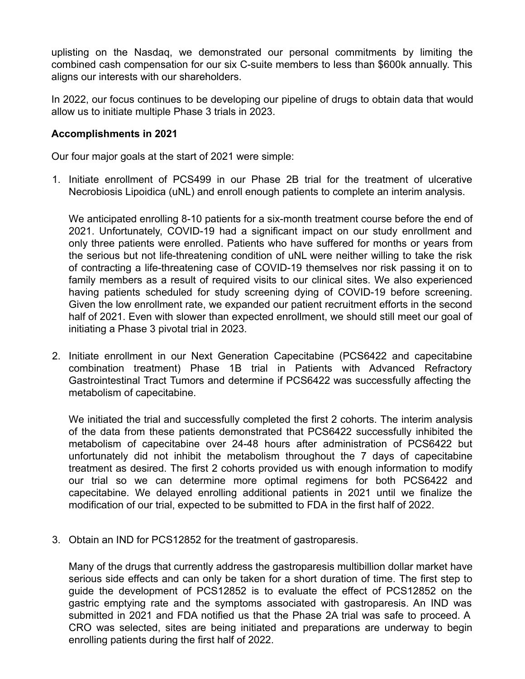uplisting on the Nasdaq, we demonstrated our personal commitments by limiting the combined cash compensation for our six C-suite members to less than \$600k annually. This aligns our interests with our shareholders.

In 2022, our focus continues to be developing our pipeline of drugs to obtain data that would allow us to initiate multiple Phase 3 trials in 2023.

## **Accomplishments in 2021**

Our four major goals at the start of 2021 were simple:

1. Initiate enrollment of PCS499 in our Phase 2B trial for the treatment of ulcerative Necrobiosis Lipoidica (uNL) and enroll enough patients to complete an interim analysis.

We anticipated enrolling 8-10 patients for a six-month treatment course before the end of 2021. Unfortunately, COVID-19 had a significant impact on our study enrollment and only three patients were enrolled. Patients who have suffered for months or years from the serious but not life-threatening condition of uNL were neither willing to take the risk of contracting a life-threatening case of COVID-19 themselves nor risk passing it on to family members as a result of required visits to our clinical sites. We also experienced having patients scheduled for study screening dying of COVID-19 before screening. Given the low enrollment rate, we expanded our patient recruitment efforts in the second half of 2021. Even with slower than expected enrollment, we should still meet our goal of initiating a Phase 3 pivotal trial in 2023.

2. Initiate enrollment in our Next Generation Capecitabine (PCS6422 and capecitabine combination treatment) Phase 1B trial in Patients with Advanced Refractory Gastrointestinal Tract Tumors and determine if PCS6422 was successfully affecting the metabolism of capecitabine.

We initiated the trial and successfully completed the first 2 cohorts. The interim analysis of the data from these patients demonstrated that PCS6422 successfully inhibited the metabolism of capecitabine over 24-48 hours after administration of PCS6422 but unfortunately did not inhibit the metabolism throughout the 7 days of capecitabine treatment as desired. The first 2 cohorts provided us with enough information to modify our trial so we can determine more optimal regimens for both PCS6422 and capecitabine. We delayed enrolling additional patients in 2021 until we finalize the modification of our trial, expected to be submitted to FDA in the first half of 2022.

3. Obtain an IND for PCS12852 for the treatment of gastroparesis.

Many of the drugs that currently address the gastroparesis multibillion dollar market have serious side effects and can only be taken for a short duration of time. The first step to guide the development of PCS12852 is to evaluate the effect of PCS12852 on the gastric emptying rate and the symptoms associated with gastroparesis. An IND was submitted in 2021 and FDA notified us that the Phase 2A trial was safe to proceed. A CRO was selected, sites are being initiated and preparations are underway to begin enrolling patients during the first half of 2022.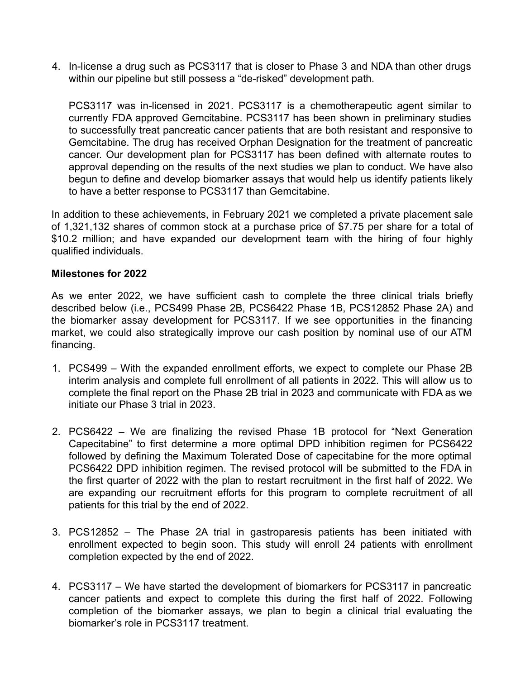4. In-license a drug such as PCS3117 that is closer to Phase 3 and NDA than other drugs within our pipeline but still possess a "de-risked" development path.

PCS3117 was in-licensed in 2021. PCS3117 is a chemotherapeutic agent similar to currently FDA approved Gemcitabine. PCS3117 has been shown in preliminary studies to successfully treat pancreatic cancer patients that are both resistant and responsive to Gemcitabine. The drug has received Orphan Designation for the treatment of pancreatic cancer. Our development plan for PCS3117 has been defined with alternate routes to approval depending on the results of the next studies we plan to conduct. We have also begun to define and develop biomarker assays that would help us identify patients likely to have a better response to PCS3117 than Gemcitabine.

In addition to these achievements, in February 2021 we completed a private placement sale of 1,321,132 shares of common stock at a purchase price of \$7.75 per share for a total of \$10.2 million; and have expanded our development team with the hiring of four highly qualified individuals.

## **Milestones for 2022**

As we enter 2022, we have sufficient cash to complete the three clinical trials briefly described below (i.e., PCS499 Phase 2B, PCS6422 Phase 1B, PCS12852 Phase 2A) and the biomarker assay development for PCS3117. If we see opportunities in the financing market, we could also strategically improve our cash position by nominal use of our ATM financing.

- 1. PCS499 With the expanded enrollment efforts, we expect to complete our Phase 2B interim analysis and complete full enrollment of all patients in 2022. This will allow us to complete the final report on the Phase 2B trial in 2023 and communicate with FDA as we initiate our Phase 3 trial in 2023.
- 2. PCS6422 We are finalizing the revised Phase 1B protocol for "Next Generation Capecitabine" to first determine a more optimal DPD inhibition regimen for PCS6422 followed by defining the Maximum Tolerated Dose of capecitabine for the more optimal PCS6422 DPD inhibition regimen. The revised protocol will be submitted to the FDA in the first quarter of 2022 with the plan to restart recruitment in the first half of 2022. We are expanding our recruitment efforts for this program to complete recruitment of all patients for this trial by the end of 2022.
- 3. PCS12852 The Phase 2A trial in gastroparesis patients has been initiated with enrollment expected to begin soon. This study will enroll 24 patients with enrollment completion expected by the end of 2022.
- 4. PCS3117 We have started the development of biomarkers for PCS3117 in pancreatic cancer patients and expect to complete this during the first half of 2022. Following completion of the biomarker assays, we plan to begin a clinical trial evaluating the biomarker's role in PCS3117 treatment.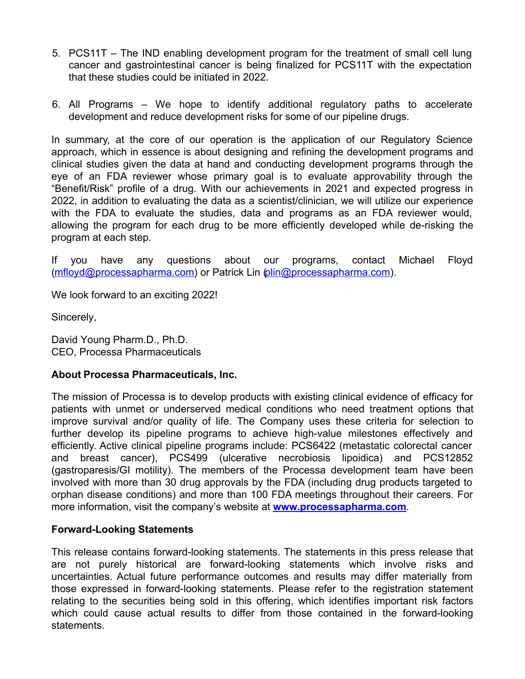- 5. PCS11T The IND enabling development program for the treatment of small cell lung cancer and gastrointestinal cancer is being finalized for PCS11T with the expectation that these studies could be initiated in 2022.
- 6. All Programs We hope to identify additional regulatory paths to accelerate development and reduce development risks for some of our pipeline drugs.

In summary, at the core of our operation is the application of our Regulatory Science approach, which in essence is about designing and refining the development programs and clinical studies given the data at hand and conducting development programs through the eye of an FDA reviewer whose primary goal is to evaluate approvability through the "Benefit/Risk" profile of a drug. With our achievements in 2021 and expected progress in 2022, in addition to evaluating the data as a scientist/clinician, we will utilize our experience with the FDA to evaluate the studies, data and programs as an FDA reviewer would, allowing the program for each drug to be more efficiently developed while de-risking the program at each step.

If you have any questions about our programs, contact Michael Floyd ([mfloyd@processapharma.com](https://www.globenewswire.com/Tracker?data=QjAqsWFyTyHJzjQC-_LL_doz3yXu7-L4UIktqQs0WecGbqB8x5lnQILl-QzfbOZ_Rt7BfhBJlEeiL-enyEoqG5s5OkJb_5hY2Bl83G5KLlM=)) or Patrick Lin [\(plin@processapharma.com](https://www.globenewswire.com/Tracker?data=qj18TttsCd0fJtREBgSISthbIRSEmAGORKAWnsEda9WVsImVFFOuVo5c4_LG1e94HeS_ZQq76pVhhLpA4YSepLIqY34_398D7lewzt5m9LM=)).

We look forward to an exciting 2022!

Sincerely,

David Young Pharm.D., Ph.D. CEO, Processa Pharmaceuticals

## **About Processa Pharmaceuticals, Inc.**

The mission of Processa is to develop products with existing clinical evidence of efficacy for patients with unmet or underserved medical conditions who need treatment options that improve survival and/or quality of life. The Company uses these criteria for selection to further develop its pipeline programs to achieve high-value milestones effectively and efficiently. Active clinical pipeline programs include: PCS6422 (metastatic colorectal cancer and breast cancer), PCS499 (ulcerative necrobiosis lipoidica) and PCS12852 (gastroparesis/GI motility). The members of the Processa development team have been involved with more than 30 drug approvals by the FDA (including drug products targeted to orphan disease conditions) and more than 100 FDA meetings throughout their careers. For more information, visit the company's website at **[www.processapharma.com](https://www.globenewswire.com/Tracker?data=qZu5uvvt_eOeFVWZXrLTgXbh4zH8CslgB_Axcvas_Q-gGErUN9_z1jm4ZBw6Q5mJU0mpy4cAlF8N2xrciKp3cwTeZv9abCTsFal6eQup-Xk=)**.

### **Forward-Looking Statements**

This release contains forward-looking statements. The statements in this press release that are not purely historical are forward-looking statements which involve risks and uncertainties. Actual future performance outcomes and results may differ materially from those expressed in forward-looking statements. Please refer to the registration statement relating to the securities being sold in this offering, which identifies important risk factors which could cause actual results to differ from those contained in the forward-looking statements.